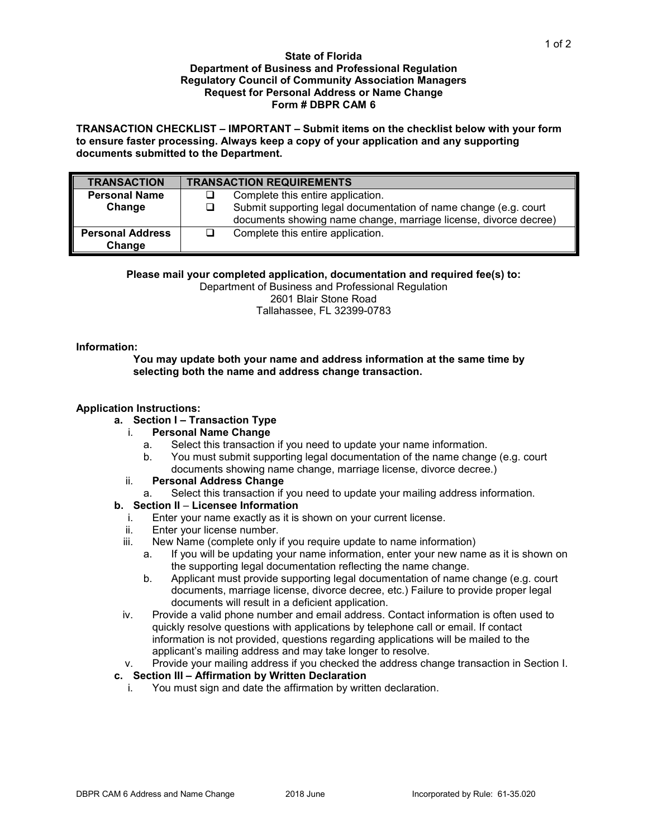#### **State of Florida Department of Business and Professional Regulation Regulatory Council of Community Association Managers Request for Personal Address or Name Change Form # DBPR CAM 6**

**TRANSACTION CHECKLIST – IMPORTANT – Submit items on the checklist below with your form to ensure faster processing. Always keep a copy of your application and any supporting documents submitted to the Department.**

| <b>TRANSACTION</b>      | <b>TRANSACTION REQUIREMENTS</b> |                                                                  |  |
|-------------------------|---------------------------------|------------------------------------------------------------------|--|
| <b>Personal Name</b>    |                                 | Complete this entire application.                                |  |
| Change                  | ப                               | Submit supporting legal documentation of name change (e.g. court |  |
|                         |                                 | documents showing name change, marriage license, divorce decree) |  |
| <b>Personal Address</b> | ப                               | Complete this entire application.                                |  |
| Change                  |                                 |                                                                  |  |

### **Please mail your completed application, documentation and required fee(s) to:**

Department of Business and Professional Regulation 2601 Blair Stone Road Tallahassee, FL 32399-0783

### **Information:**

**You may update both your name and address information at the same time by selecting both the name and address change transaction.**

### **Application Instructions:**

# **a. Section I – Transaction Type**

### i. **Personal Name Change**

- a. Select this transaction if you need to update your name information.
- b. You must submit supporting legal documentation of the name change (e.g. court documents showing name change, marriage license, divorce decree.)

### ii. **Personal Address Change**

a. Select this transaction if you need to update your mailing address information.

### **b. Section II** – **Licensee Information**

- i. Enter your name exactly as it is shown on your current license.
- ii. Enter your license number.<br>iii. New Name (complete only)
- New Name (complete only if you require update to name information)
	- a. If you will be updating your name information, enter your new name as it is shown on the supporting legal documentation reflecting the name change.
	- b. Applicant must provide supporting legal documentation of name change (e.g. court documents, marriage license, divorce decree, etc.) Failure to provide proper legal documents will result in a deficient application.
- iv. Provide a valid phone number and email address. Contact information is often used to quickly resolve questions with applications by telephone call or email. If contact information is not provided, questions regarding applications will be mailed to the applicant's mailing address and may take longer to resolve.

## v. Provide your mailing address if you checked the address change transaction in Section I.

## **c. Section III – Affirmation by Written Declaration**

i. You must sign and date the affirmation by written declaration.